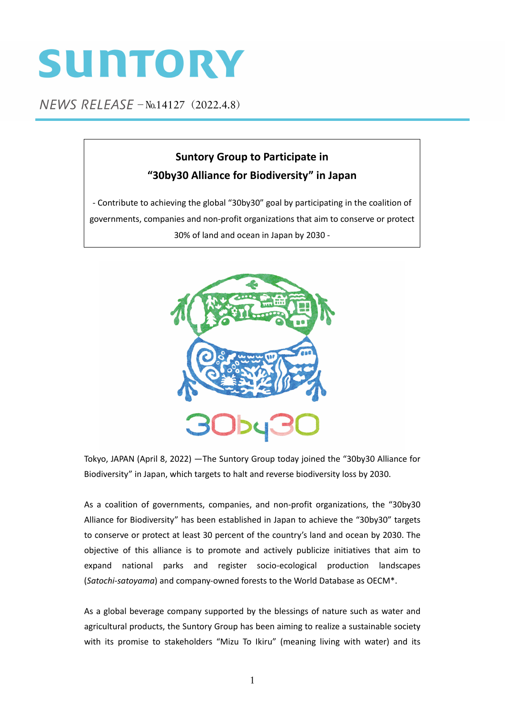## SUNTORY

NEWS RELEASE - No.14127 (2022.4.8)

## **Suntory Group to Participate in "30by30 Alliance for Biodiversity" in Japan**

‐ Contribute to achieving the global "30by30" goal by participating in the coalition of governments, companies and non‐profit organizations that aim to conserve or protect 30% of land and ocean in Japan by 2030 ‐



Tokyo, JAPAN (April 8, 2022) —The Suntory Group today joined the "30by30 Alliance for Biodiversity" in Japan, which targets to halt and reverse biodiversity loss by 2030.

As a coalition of governments, companies, and non‐profit organizations, the "30by30 Alliance for Biodiversity" has been established in Japan to achieve the "30by30" targets to conserve or protect at least 30 percent of the country's land and ocean by 2030. The objective of this alliance is to promote and actively publicize initiatives that aim to expand national parks and register socio‐ecological production landscapes (*Satochi‐satoyama*) and company‐owned forests to the World Database as OECM\*.

As a global beverage company supported by the blessings of nature such as water and agricultural products, the Suntory Group has been aiming to realize a sustainable society with its promise to stakeholders "Mizu To Ikiru" (meaning living with water) and its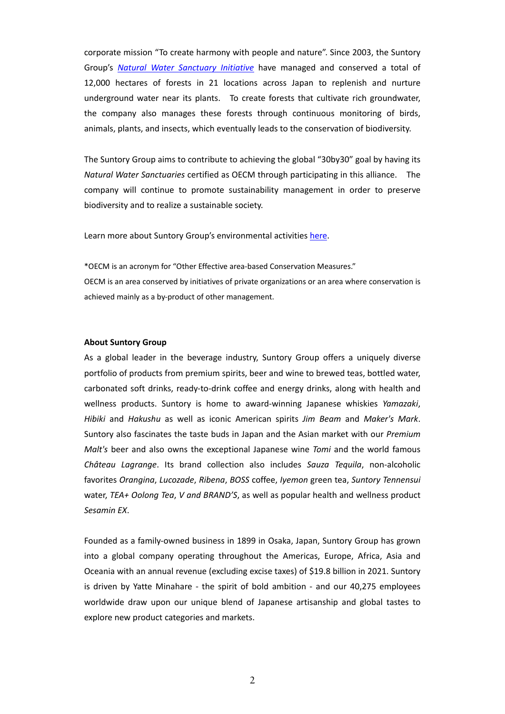corporate mission "To create harmony with people and nature". Since 2003, the Suntory Group's *Natural Water [Sanctuary](https://www.suntory.com/csr/activity/environment/eco/forest/) Initiative* have managed and conserved a total of 12,000 hectares of forests in 21 locations across Japan to replenish and nurture underground water near its plants. To create forests that cultivate rich groundwater, the company also manages these forests through continuous monitoring of birds, animals, plants, and insects, which eventually leads to the conservation of biodiversity.

The Suntory Group aims to contribute to achieving the global "30by30" goal by having its *Natural Water Sanctuaries* certified as OECM through participating in this alliance. The company will continue to promote sustainability management in order to preserve biodiversity and to realize a sustainable society.

Learn more about Suntory Group's environmental activities [here.](https://www.suntory.com/csr/activity/environment/)

\*OECM is an acronym for "Other Effective area‐based Conservation Measures." OECM is an area conserved by initiatives of private organizations or an area where conservation is achieved mainly as a by‐product of other management.

## **About Suntory Group**

As a global leader in the beverage industry, Suntory Group offers a uniquely diverse portfolio of products from premium spirits, beer and wine to brewed teas, bottled water, carbonated soft drinks, ready‐to‐drink coffee and energy drinks, along with health and wellness products. Suntory is home to award‐winning Japanese whiskies *Yamazaki*, *Hibiki* and *Hakushu* as well as iconic American spirits *Jim Beam* and *Maker's Mark*. Suntory also fascinates the taste buds in Japan and the Asian market with our *Premium Malt's* beer and also owns the exceptional Japanese wine *Tomi* and the world famous *Château Lagrange*. Its brand collection also includes *Sauza Tequila*, non‐alcoholic favorites *Orangina*, *Lucozade*, *Ribena*, *BOSS* coffee, *Iyemon* green tea, *Suntory Tennensui* water, *TEA+ Oolong Tea*, *V and BRAND'S*, as well as popular health and wellness product *Sesamin EX*.

Founded as a family‐owned business in 1899 in Osaka, Japan, Suntory Group has grown into a global company operating throughout the Americas, Europe, Africa, Asia and Oceania with an annual revenue (excluding excise taxes) of \$19.8 billion in 2021. Suntory is driven by Yatte Minahare - the spirit of bold ambition - and our 40,275 employees worldwide draw upon our unique blend of Japanese artisanship and global tastes to explore new product categories and markets.